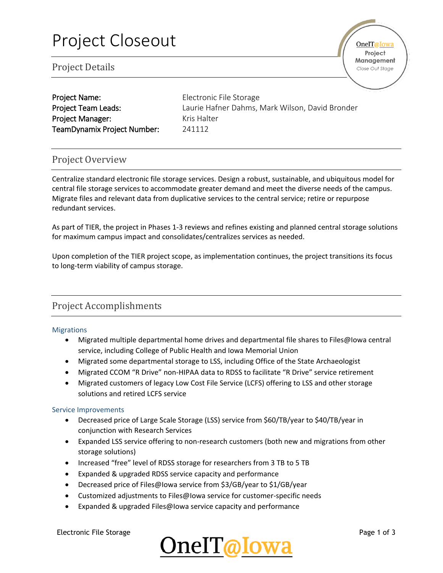| <b>Project Name:</b>        |
|-----------------------------|
| <b>Project Team Leads:</b>  |
| <b>Project Manager:</b>     |
| TeamDynamix Project Number: |

Electronic File Storage Laurie Hafner Dahms, Mark Wilson, David Bronder Kris Halter 241112

## Project Overview

Centralize standard electronic file storage services. Design a robust, sustainable, and ubiquitous model for central file storage services to accommodate greater demand and meet the diverse needs of the campus. Migrate files and relevant data from duplicative services to the central service; retire or repurpose redundant services.

As part of TIER, the project in Phases 1-3 reviews and refines existing and planned central storage solutions for maximum campus impact and consolidates/centralizes services as needed.

Upon completion of the TIER project scope, as implementation continues, the project transitions its focus to long-term viability of campus storage.

## Project Accomplishments

#### **Migrations**

- Migrated multiple departmental home drives and departmental file shares to Files@Iowa central service, including College of Public Health and Iowa Memorial Union
- Migrated some departmental storage to LSS, including Office of the State Archaeologist
- Migrated CCOM "R Drive" non-HIPAA data to RDSS to facilitate "R Drive" service retirement
- Migrated customers of legacy Low Cost File Service (LCFS) offering to LSS and other storage solutions and retired LCFS service

#### Service Improvements

- Decreased price of Large Scale Storage (LSS) service from \$60/TB/year to \$40/TB/year in conjunction with Research Services
- Expanded LSS service offering to non-research customers (both new and migrations from other storage solutions)
- Increased "free" level of RDSS storage for researchers from 3 TB to 5 TB
- Expanded & upgraded RDSS service capacity and performance
- Decreased price of Files@Iowa service from \$3/GB/year to \$1/GB/year
- Customized adjustments to Files@Iowa service for customer-specific needs
- Expanded & upgraded Files@Iowa service capacity and performance

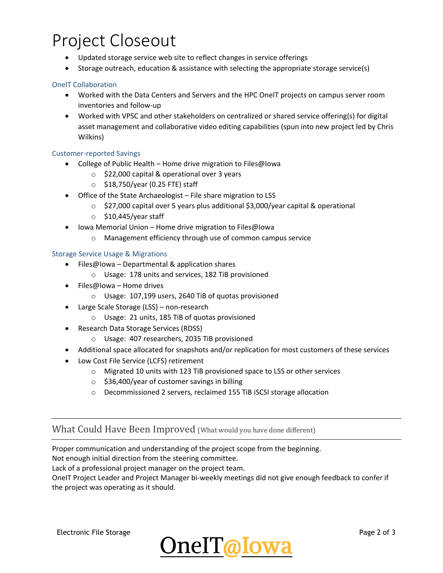## Project Closeout

- Updated storage service web site to reflect changes in service offerings
- Storage outreach, education & assistance with selecting the appropriate storage service(s)

#### OneIT Collaboration

- Worked with the Data Centers and Servers and the HPC OneIT projects on campus server room inventories and follow-up
- Worked with VPSC and other stakeholders on centralized or shared service offering(s) for digital asset management and collaborative video editing capabilities (spun into new project led by Chris Wilkins)

#### Customer-reported Savings

- College of Public Health Home drive migration to Files@Iowa
	- o \$22,000 capital & operational over 3 years
	- $\circ$  \$18,750/year (0.25 FTE) staff
- Office of the State Archaeologist File share migration to LSS
	- $\circ$  \$27,000 capital over 5 years plus additional \$3,000/year capital & operational
	- $\circ$  \$10,445/year staff
- Iowa Memorial Union Home drive migration to Files@Iowa
	- o Management efficiency through use of common campus service

#### Storage Service Usage & Migrations

- Files@Iowa Departmental & application shares
	- o Usage: 178 units and services, 182 TiB provisioned
- Files@Iowa Home drives
	- o Usage: 107,199 users, 2640 TiB of quotas provisioned
- Large Scale Storage (LSS) non-research
	- o Usage: 21 units, 185 TiB of quotas provisioned
- Research Data Storage Services (RDSS)
	- o Usage: 407 researchers, 2035 TiB provisioned
- Additional space allocated for snapshots and/or replication for most customers of these services
- Low Cost File Service (LCFS) retirement
	- o Migrated 10 units with 123 TiB provisioned space to LSS or other services
	- o \$36,400/year of customer savings in billing
	- o Decommissioned 2 servers, reclaimed 155 TiB iSCSI storage allocation

### What Could Have Been Improved (What would you have done different)

Proper communication and understanding of the project scope from the beginning. Not enough initial direction from the steering committee.

Lack of a professional project manager on the project team.

OneIT Project Leader and Project Manager bi-weekly meetings did not give enough feedback to confer if the project was operating as it should.